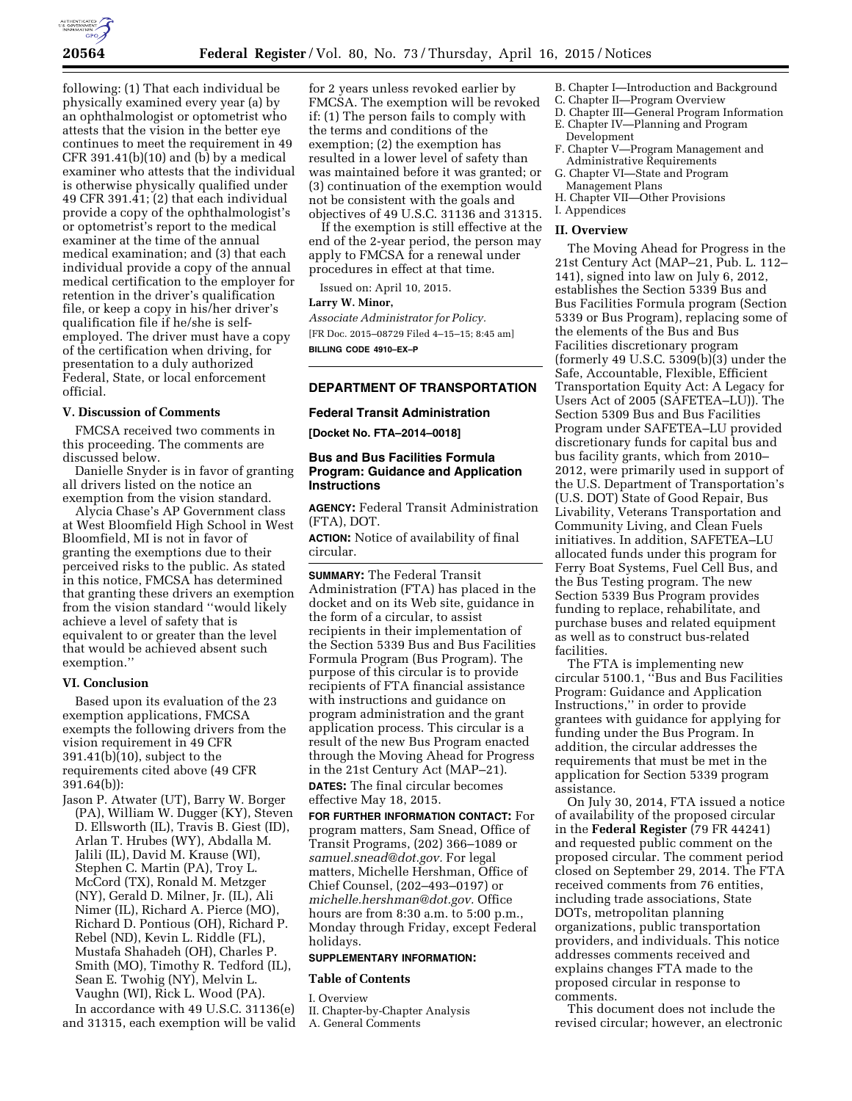

following: (1) That each individual be physically examined every year (a) by an ophthalmologist or optometrist who attests that the vision in the better eye continues to meet the requirement in 49  $CFR 391.41(b)(10)$  and (b) by a medical examiner who attests that the individual is otherwise physically qualified under 49 CFR 391.41; (2) that each individual provide a copy of the ophthalmologist's or optometrist's report to the medical examiner at the time of the annual medical examination; and (3) that each individual provide a copy of the annual medical certification to the employer for retention in the driver's qualification file, or keep a copy in his/her driver's qualification file if he/she is selfemployed. The driver must have a copy of the certification when driving, for presentation to a duly authorized Federal, State, or local enforcement official.

# **V. Discussion of Comments**

FMCSA received two comments in this proceeding. The comments are discussed below.

Danielle Snyder is in favor of granting all drivers listed on the notice an exemption from the vision standard.

Alycia Chase's AP Government class at West Bloomfield High School in West Bloomfield, MI is not in favor of granting the exemptions due to their perceived risks to the public. As stated in this notice, FMCSA has determined that granting these drivers an exemption from the vision standard ''would likely achieve a level of safety that is equivalent to or greater than the level that would be achieved absent such exemption.''

#### **VI. Conclusion**

Based upon its evaluation of the 23 exemption applications, FMCSA exempts the following drivers from the vision requirement in 49 CFR 391.41(b)(10), subject to the requirements cited above (49 CFR 391.64(b)):

Jason P. Atwater (UT), Barry W. Borger (PA), William W. Dugger (KY), Steven D. Ellsworth (IL), Travis B. Giest (ID), Arlan T. Hrubes (WY), Abdalla M. Jalili (IL), David M. Krause (WI), Stephen C. Martin (PA), Troy L. McCord (TX), Ronald M. Metzger (NY), Gerald D. Milner, Jr. (IL), Ali Nimer (IL), Richard A. Pierce (MO), Richard D. Pontious (OH), Richard P. Rebel (ND), Kevin L. Riddle (FL), Mustafa Shahadeh (OH), Charles P. Smith (MO), Timothy R. Tedford (IL), Sean E. Twohig (NY), Melvin L. Vaughn (WI), Rick L. Wood (PA).

In accordance with 49 U.S.C. 31136(e) and 31315, each exemption will be valid

for 2 years unless revoked earlier by FMCSA. The exemption will be revoked if: (1) The person fails to comply with the terms and conditions of the exemption; (2) the exemption has resulted in a lower level of safety than was maintained before it was granted; or (3) continuation of the exemption would not be consistent with the goals and objectives of 49 U.S.C. 31136 and 31315.

If the exemption is still effective at the end of the 2-year period, the person may apply to FMCSA for a renewal under procedures in effect at that time.

Issued on: April 10, 2015.

#### **Larry W. Minor,**

*Associate Administrator for Policy.*  [FR Doc. 2015–08729 Filed 4–15–15; 8:45 am] **BILLING CODE 4910–EX–P** 

# **DEPARTMENT OF TRANSPORTATION**

# **Federal Transit Administration**

**[Docket No. FTA–2014–0018]** 

# **Bus and Bus Facilities Formula Program: Guidance and Application Instructions**

**AGENCY:** Federal Transit Administration (FTA), DOT.

**ACTION:** Notice of availability of final circular.

**SUMMARY:** The Federal Transit Administration (FTA) has placed in the docket and on its Web site, guidance in the form of a circular, to assist recipients in their implementation of the Section 5339 Bus and Bus Facilities Formula Program (Bus Program). The purpose of this circular is to provide recipients of FTA financial assistance with instructions and guidance on program administration and the grant application process. This circular is a result of the new Bus Program enacted through the Moving Ahead for Progress in the 21st Century Act (MAP–21).

**DATES:** The final circular becomes effective May 18, 2015.

**FOR FURTHER INFORMATION CONTACT:** For program matters, Sam Snead, Office of Transit Programs, (202) 366–1089 or *[samuel.snead@dot.gov.](mailto:samuel.snead@dot.gov)* For legal matters, Michelle Hershman, Office of Chief Counsel, (202–493–0197) or *[michelle.hershman@dot.gov.](mailto:michelle.hershman@dot.gov)* Office hours are from 8:30 a.m. to 5:00 p.m., Monday through Friday, except Federal holidays.

#### **SUPPLEMENTARY INFORMATION:**

#### **Table of Contents**

I. Overview

II. Chapter-by-Chapter Analysis

A. General Comments

- B. Chapter I—Introduction and Background
- C. Chapter II—Program Overview
- D. Chapter III—General Program Information E. Chapter IV—Planning and Program
	- Development
- F. Chapter V—Program Management and Administrative Requirements
- G. Chapter VI—State and Program Management Plans
- H. Chapter VII—Other Provisions
- I. Appendices

# **II. Overview**

The Moving Ahead for Progress in the 21st Century Act (MAP–21, Pub. L. 112– 141), signed into law on July 6, 2012, establishes the Section 5339 Bus and Bus Facilities Formula program (Section 5339 or Bus Program), replacing some of the elements of the Bus and Bus Facilities discretionary program (formerly 49 U.S.C. 5309(b)(3) under the Safe, Accountable, Flexible, Efficient Transportation Equity Act: A Legacy for Users Act of 2005 (SAFETEA–LU)). The Section 5309 Bus and Bus Facilities Program under SAFETEA–LU provided discretionary funds for capital bus and bus facility grants, which from 2010– 2012, were primarily used in support of the U.S. Department of Transportation's (U.S. DOT) State of Good Repair, Bus Livability, Veterans Transportation and Community Living, and Clean Fuels initiatives. In addition, SAFETEA–LU allocated funds under this program for Ferry Boat Systems, Fuel Cell Bus, and the Bus Testing program. The new Section 5339 Bus Program provides funding to replace, rehabilitate, and purchase buses and related equipment as well as to construct bus-related facilities.

The FTA is implementing new circular 5100.1, ''Bus and Bus Facilities Program: Guidance and Application Instructions,'' in order to provide grantees with guidance for applying for funding under the Bus Program. In addition, the circular addresses the requirements that must be met in the application for Section 5339 program assistance.

On July 30, 2014, FTA issued a notice of availability of the proposed circular in the **Federal Register** (79 FR 44241) and requested public comment on the proposed circular. The comment period closed on September 29, 2014. The FTA received comments from 76 entities, including trade associations, State DOTs, metropolitan planning organizations, public transportation providers, and individuals. This notice addresses comments received and explains changes FTA made to the proposed circular in response to comments.

This document does not include the revised circular; however, an electronic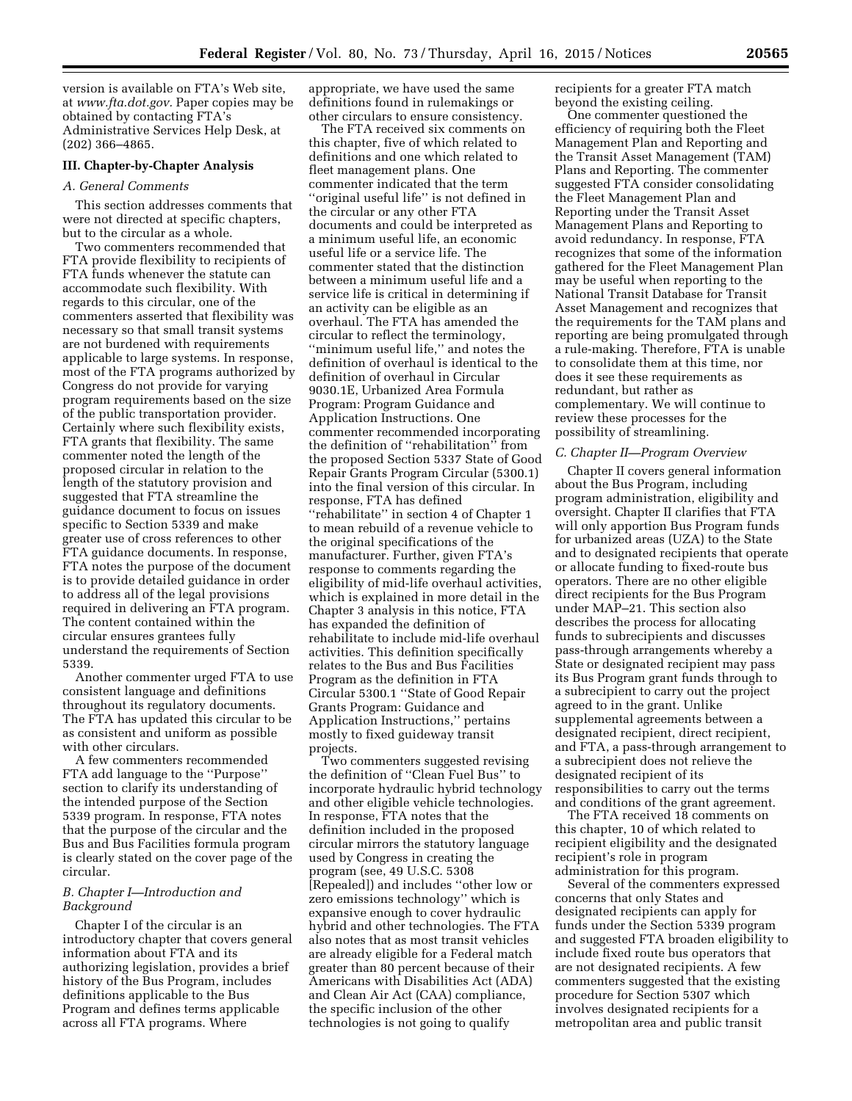version is available on FTA's Web site, at *[www.fta.dot.gov.](http://www.fta.dot.gov)* Paper copies may be obtained by contacting FTA's Administrative Services Help Desk, at (202) 366–4865.

# **III. Chapter-by-Chapter Analysis**

### *A. General Comments*

This section addresses comments that were not directed at specific chapters, but to the circular as a whole.

Two commenters recommended that FTA provide flexibility to recipients of FTA funds whenever the statute can accommodate such flexibility. With regards to this circular, one of the commenters asserted that flexibility was necessary so that small transit systems are not burdened with requirements applicable to large systems. In response, most of the FTA programs authorized by Congress do not provide for varying program requirements based on the size of the public transportation provider. Certainly where such flexibility exists, FTA grants that flexibility. The same commenter noted the length of the proposed circular in relation to the length of the statutory provision and suggested that FTA streamline the guidance document to focus on issues specific to Section 5339 and make greater use of cross references to other FTA guidance documents. In response, FTA notes the purpose of the document is to provide detailed guidance in order to address all of the legal provisions required in delivering an FTA program. The content contained within the circular ensures grantees fully understand the requirements of Section 5339.

Another commenter urged FTA to use consistent language and definitions throughout its regulatory documents. The FTA has updated this circular to be as consistent and uniform as possible with other circulars.

A few commenters recommended FTA add language to the ''Purpose'' section to clarify its understanding of the intended purpose of the Section 5339 program. In response, FTA notes that the purpose of the circular and the Bus and Bus Facilities formula program is clearly stated on the cover page of the circular.

# *B. Chapter I—Introduction and Background*

Chapter I of the circular is an introductory chapter that covers general information about FTA and its authorizing legislation, provides a brief history of the Bus Program, includes definitions applicable to the Bus Program and defines terms applicable across all FTA programs. Where

appropriate, we have used the same definitions found in rulemakings or other circulars to ensure consistency.

The FTA received six comments on this chapter, five of which related to definitions and one which related to fleet management plans. One commenter indicated that the term ''original useful life'' is not defined in the circular or any other FTA documents and could be interpreted as a minimum useful life, an economic useful life or a service life. The commenter stated that the distinction between a minimum useful life and a service life is critical in determining if an activity can be eligible as an overhaul. The FTA has amended the circular to reflect the terminology, ''minimum useful life,'' and notes the definition of overhaul is identical to the definition of overhaul in Circular 9030.1E, Urbanized Area Formula Program: Program Guidance and Application Instructions. One commenter recommended incorporating the definition of ''rehabilitation'' from the proposed Section 5337 State of Good Repair Grants Program Circular (5300.1) into the final version of this circular. In response, FTA has defined ''rehabilitate'' in section 4 of Chapter 1 to mean rebuild of a revenue vehicle to the original specifications of the manufacturer. Further, given FTA's response to comments regarding the eligibility of mid-life overhaul activities, which is explained in more detail in the Chapter 3 analysis in this notice, FTA has expanded the definition of rehabilitate to include mid-life overhaul activities. This definition specifically relates to the Bus and Bus Facilities Program as the definition in FTA Circular 5300.1 ''State of Good Repair Grants Program: Guidance and Application Instructions,'' pertains mostly to fixed guideway transit projects.

Two commenters suggested revising the definition of ''Clean Fuel Bus'' to incorporate hydraulic hybrid technology and other eligible vehicle technologies. In response, FTA notes that the definition included in the proposed circular mirrors the statutory language used by Congress in creating the program (see, 49 U.S.C. 5308 [Repealed]) and includes ''other low or zero emissions technology'' which is expansive enough to cover hydraulic hybrid and other technologies. The FTA also notes that as most transit vehicles are already eligible for a Federal match greater than 80 percent because of their Americans with Disabilities Act (ADA) and Clean Air Act (CAA) compliance, the specific inclusion of the other technologies is not going to qualify

recipients for a greater FTA match beyond the existing ceiling.

One commenter questioned the efficiency of requiring both the Fleet Management Plan and Reporting and the Transit Asset Management (TAM) Plans and Reporting. The commenter suggested FTA consider consolidating the Fleet Management Plan and Reporting under the Transit Asset Management Plans and Reporting to avoid redundancy. In response, FTA recognizes that some of the information gathered for the Fleet Management Plan may be useful when reporting to the National Transit Database for Transit Asset Management and recognizes that the requirements for the TAM plans and reporting are being promulgated through a rule-making. Therefore, FTA is unable to consolidate them at this time, nor does it see these requirements as redundant, but rather as complementary. We will continue to review these processes for the possibility of streamlining.

#### *C. Chapter II—Program Overview*

Chapter II covers general information about the Bus Program, including program administration, eligibility and oversight. Chapter II clarifies that FTA will only apportion Bus Program funds for urbanized areas (UZA) to the State and to designated recipients that operate or allocate funding to fixed-route bus operators. There are no other eligible direct recipients for the Bus Program under MAP–21. This section also describes the process for allocating funds to subrecipients and discusses pass-through arrangements whereby a State or designated recipient may pass its Bus Program grant funds through to a subrecipient to carry out the project agreed to in the grant. Unlike supplemental agreements between a designated recipient, direct recipient, and FTA, a pass-through arrangement to a subrecipient does not relieve the designated recipient of its responsibilities to carry out the terms and conditions of the grant agreement.

The FTA received 18 comments on this chapter, 10 of which related to recipient eligibility and the designated recipient's role in program administration for this program.

Several of the commenters expressed concerns that only States and designated recipients can apply for funds under the Section 5339 program and suggested FTA broaden eligibility to include fixed route bus operators that are not designated recipients. A few commenters suggested that the existing procedure for Section 5307 which involves designated recipients for a metropolitan area and public transit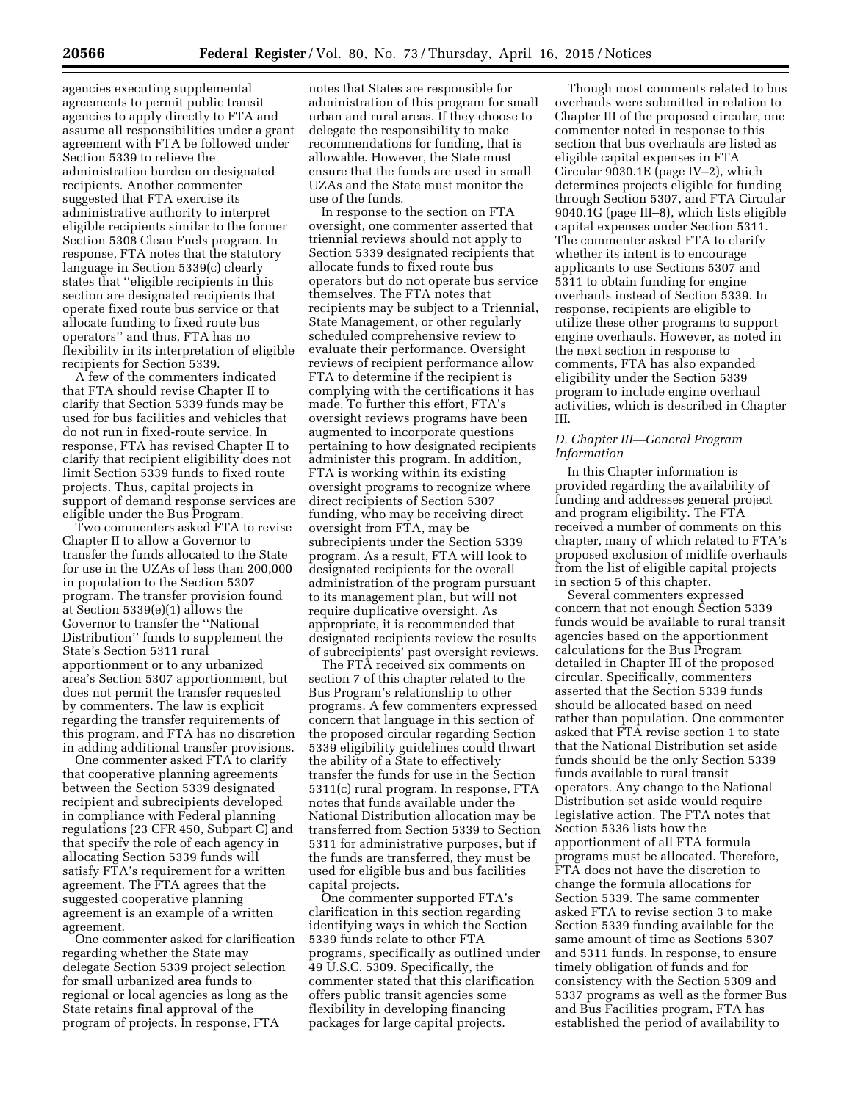agencies executing supplemental agreements to permit public transit agencies to apply directly to FTA and assume all responsibilities under a grant agreement with FTA be followed under Section 5339 to relieve the administration burden on designated recipients. Another commenter suggested that FTA exercise its administrative authority to interpret eligible recipients similar to the former Section 5308 Clean Fuels program. In response, FTA notes that the statutory language in Section 5339(c) clearly states that ''eligible recipients in this section are designated recipients that operate fixed route bus service or that allocate funding to fixed route bus operators'' and thus, FTA has no flexibility in its interpretation of eligible recipients for Section 5339.

A few of the commenters indicated that FTA should revise Chapter II to clarify that Section 5339 funds may be used for bus facilities and vehicles that do not run in fixed-route service. In response, FTA has revised Chapter II to clarify that recipient eligibility does not limit Section 5339 funds to fixed route projects. Thus, capital projects in support of demand response services are eligible under the Bus Program.

Two commenters asked FTA to revise Chapter II to allow a Governor to transfer the funds allocated to the State for use in the UZAs of less than 200,000 in population to the Section 5307 program. The transfer provision found at Section 5339(e)(1) allows the Governor to transfer the ''National Distribution'' funds to supplement the State's Section 5311 rural apportionment or to any urbanized area's Section 5307 apportionment, but does not permit the transfer requested by commenters. The law is explicit regarding the transfer requirements of this program, and FTA has no discretion in adding additional transfer provisions.

One commenter asked FTA to clarify that cooperative planning agreements between the Section 5339 designated recipient and subrecipients developed in compliance with Federal planning regulations (23 CFR 450, Subpart C) and that specify the role of each agency in allocating Section 5339 funds will satisfy FTA's requirement for a written agreement. The FTA agrees that the suggested cooperative planning agreement is an example of a written agreement.

One commenter asked for clarification regarding whether the State may delegate Section 5339 project selection for small urbanized area funds to regional or local agencies as long as the State retains final approval of the program of projects. In response, FTA

notes that States are responsible for administration of this program for small urban and rural areas. If they choose to delegate the responsibility to make recommendations for funding, that is allowable. However, the State must ensure that the funds are used in small UZAs and the State must monitor the use of the funds.

In response to the section on FTA oversight, one commenter asserted that triennial reviews should not apply to Section 5339 designated recipients that allocate funds to fixed route bus operators but do not operate bus service themselves. The FTA notes that recipients may be subject to a Triennial, State Management, or other regularly scheduled comprehensive review to evaluate their performance. Oversight reviews of recipient performance allow FTA to determine if the recipient is complying with the certifications it has made. To further this effort, FTA's oversight reviews programs have been augmented to incorporate questions pertaining to how designated recipients administer this program. In addition, FTA is working within its existing oversight programs to recognize where direct recipients of Section 5307 funding, who may be receiving direct oversight from FTA, may be subrecipients under the Section 5339 program. As a result, FTA will look to designated recipients for the overall administration of the program pursuant to its management plan, but will not require duplicative oversight. As appropriate, it is recommended that designated recipients review the results of subrecipients' past oversight reviews.

The FTA received six comments on section 7 of this chapter related to the Bus Program's relationship to other programs. A few commenters expressed concern that language in this section of the proposed circular regarding Section 5339 eligibility guidelines could thwart the ability of a State to effectively transfer the funds for use in the Section 5311(c) rural program. In response, FTA notes that funds available under the National Distribution allocation may be transferred from Section 5339 to Section 5311 for administrative purposes, but if the funds are transferred, they must be used for eligible bus and bus facilities capital projects.

One commenter supported FTA's clarification in this section regarding identifying ways in which the Section 5339 funds relate to other FTA programs, specifically as outlined under 49 U.S.C. 5309. Specifically, the commenter stated that this clarification offers public transit agencies some flexibility in developing financing packages for large capital projects.

Though most comments related to bus overhauls were submitted in relation to Chapter III of the proposed circular, one commenter noted in response to this section that bus overhauls are listed as eligible capital expenses in FTA Circular 9030.1E (page IV–2), which determines projects eligible for funding through Section 5307, and FTA Circular 9040.1G (page III–8), which lists eligible capital expenses under Section 5311. The commenter asked FTA to clarify whether its intent is to encourage applicants to use Sections 5307 and 5311 to obtain funding for engine overhauls instead of Section 5339. In response, recipients are eligible to utilize these other programs to support engine overhauls. However, as noted in the next section in response to comments, FTA has also expanded eligibility under the Section 5339 program to include engine overhaul activities, which is described in Chapter III.

## *D. Chapter III—General Program Information*

In this Chapter information is provided regarding the availability of funding and addresses general project and program eligibility. The FTA received a number of comments on this chapter, many of which related to FTA's proposed exclusion of midlife overhauls from the list of eligible capital projects in section 5 of this chapter.

Several commenters expressed concern that not enough Section 5339 funds would be available to rural transit agencies based on the apportionment calculations for the Bus Program detailed in Chapter III of the proposed circular. Specifically, commenters asserted that the Section 5339 funds should be allocated based on need rather than population. One commenter asked that FTA revise section 1 to state that the National Distribution set aside funds should be the only Section 5339 funds available to rural transit operators. Any change to the National Distribution set aside would require legislative action. The FTA notes that Section 5336 lists how the apportionment of all FTA formula programs must be allocated. Therefore, FTA does not have the discretion to change the formula allocations for Section 5339. The same commenter asked FTA to revise section 3 to make Section 5339 funding available for the same amount of time as Sections 5307 and 5311 funds. In response, to ensure timely obligation of funds and for consistency with the Section 5309 and 5337 programs as well as the former Bus and Bus Facilities program, FTA has established the period of availability to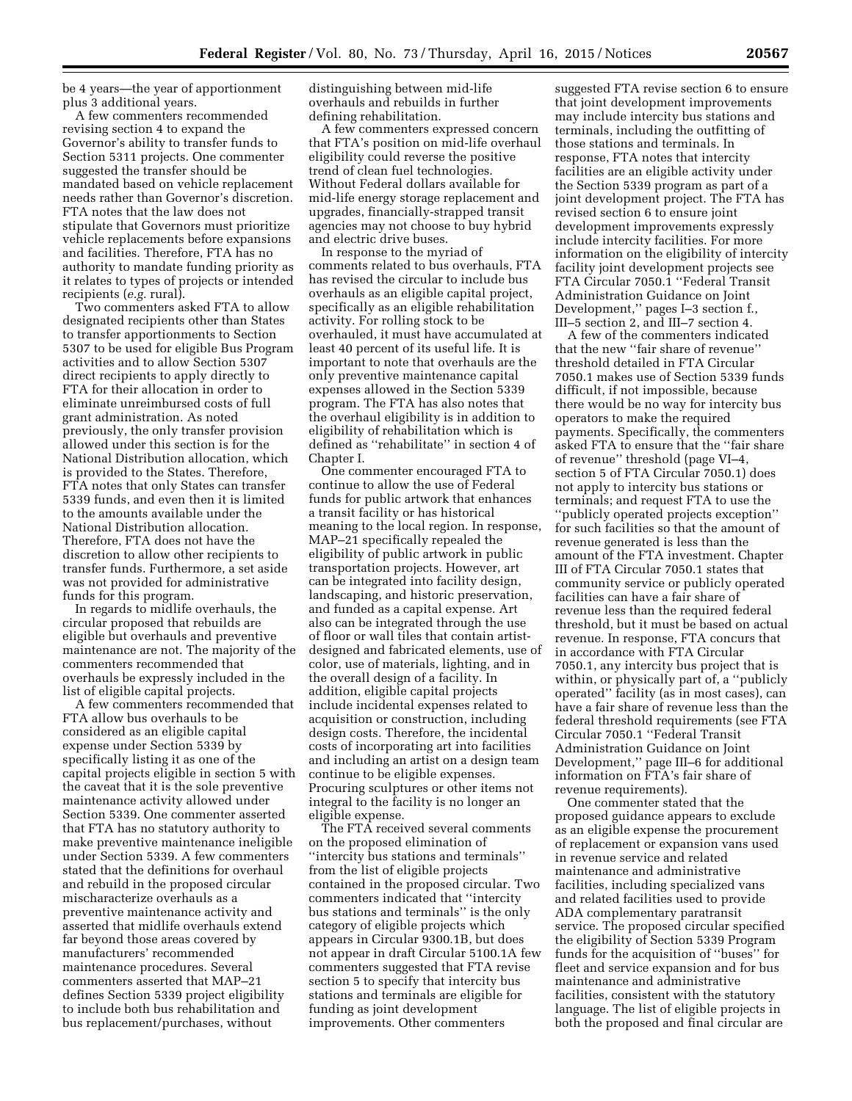be 4 years—the year of apportionment plus 3 additional years.

A few commenters recommended revising section 4 to expand the Governor's ability to transfer funds to Section 5311 projects. One commenter suggested the transfer should be mandated based on vehicle replacement needs rather than Governor's discretion. FTA notes that the law does not stipulate that Governors must prioritize vehicle replacements before expansions and facilities. Therefore, FTA has no authority to mandate funding priority as it relates to types of projects or intended recipients (*e.g.* rural).

Two commenters asked FTA to allow designated recipients other than States to transfer apportionments to Section 5307 to be used for eligible Bus Program activities and to allow Section 5307 direct recipients to apply directly to FTA for their allocation in order to eliminate unreimbursed costs of full grant administration. As noted previously, the only transfer provision allowed under this section is for the National Distribution allocation, which is provided to the States. Therefore, FTA notes that only States can transfer 5339 funds, and even then it is limited to the amounts available under the National Distribution allocation. Therefore, FTA does not have the discretion to allow other recipients to transfer funds. Furthermore, a set aside was not provided for administrative funds for this program.

In regards to midlife overhauls, the circular proposed that rebuilds are eligible but overhauls and preventive maintenance are not. The majority of the commenters recommended that overhauls be expressly included in the list of eligible capital projects.

A few commenters recommended that FTA allow bus overhauls to be considered as an eligible capital expense under Section 5339 by specifically listing it as one of the capital projects eligible in section 5 with the caveat that it is the sole preventive maintenance activity allowed under Section 5339. One commenter asserted that FTA has no statutory authority to make preventive maintenance ineligible under Section 5339. A few commenters stated that the definitions for overhaul and rebuild in the proposed circular mischaracterize overhauls as a preventive maintenance activity and asserted that midlife overhauls extend far beyond those areas covered by manufacturers' recommended maintenance procedures. Several commenters asserted that MAP–21 defines Section 5339 project eligibility to include both bus rehabilitation and bus replacement/purchases, without

distinguishing between mid-life overhauls and rebuilds in further defining rehabilitation.

A few commenters expressed concern that FTA's position on mid-life overhaul eligibility could reverse the positive trend of clean fuel technologies. Without Federal dollars available for mid-life energy storage replacement and upgrades, financially-strapped transit agencies may not choose to buy hybrid and electric drive buses.

In response to the myriad of comments related to bus overhauls, FTA has revised the circular to include bus overhauls as an eligible capital project, specifically as an eligible rehabilitation activity. For rolling stock to be overhauled, it must have accumulated at least 40 percent of its useful life. It is important to note that overhauls are the only preventive maintenance capital expenses allowed in the Section 5339 program. The FTA has also notes that the overhaul eligibility is in addition to eligibility of rehabilitation which is defined as ''rehabilitate'' in section 4 of Chapter I.

One commenter encouraged FTA to continue to allow the use of Federal funds for public artwork that enhances a transit facility or has historical meaning to the local region. In response, MAP–21 specifically repealed the eligibility of public artwork in public transportation projects. However, art can be integrated into facility design, landscaping, and historic preservation, and funded as a capital expense. Art also can be integrated through the use of floor or wall tiles that contain artistdesigned and fabricated elements, use of color, use of materials, lighting, and in the overall design of a facility. In addition, eligible capital projects include incidental expenses related to acquisition or construction, including design costs. Therefore, the incidental costs of incorporating art into facilities and including an artist on a design team continue to be eligible expenses. Procuring sculptures or other items not integral to the facility is no longer an eligible expense.

The FTA received several comments on the proposed elimination of ''intercity bus stations and terminals'' from the list of eligible projects contained in the proposed circular. Two commenters indicated that ''intercity bus stations and terminals'' is the only category of eligible projects which appears in Circular 9300.1B, but does not appear in draft Circular 5100.1A few commenters suggested that FTA revise section 5 to specify that intercity bus stations and terminals are eligible for funding as joint development improvements. Other commenters

suggested FTA revise section 6 to ensure that joint development improvements may include intercity bus stations and terminals, including the outfitting of those stations and terminals. In response, FTA notes that intercity facilities are an eligible activity under the Section 5339 program as part of a joint development project. The FTA has revised section 6 to ensure joint development improvements expressly include intercity facilities. For more information on the eligibility of intercity facility joint development projects see FTA Circular 7050.1 ''Federal Transit Administration Guidance on Joint Development,'' pages I–3 section f., III–5 section 2, and III–7 section 4.

A few of the commenters indicated that the new ''fair share of revenue'' threshold detailed in FTA Circular 7050.1 makes use of Section 5339 funds difficult, if not impossible, because there would be no way for intercity bus operators to make the required payments. Specifically, the commenters asked FTA to ensure that the ''fair share of revenue'' threshold (page VI–4, section 5 of FTA Circular 7050.1) does not apply to intercity bus stations or terminals; and request FTA to use the ''publicly operated projects exception'' for such facilities so that the amount of revenue generated is less than the amount of the FTA investment. Chapter III of FTA Circular 7050.1 states that community service or publicly operated facilities can have a fair share of revenue less than the required federal threshold, but it must be based on actual revenue. In response, FTA concurs that in accordance with FTA Circular 7050.1, any intercity bus project that is within, or physically part of, a ''publicly operated'' facility (as in most cases), can have a fair share of revenue less than the federal threshold requirements (see FTA Circular 7050.1 ''Federal Transit Administration Guidance on Joint Development,'' page III–6 for additional information on FTA's fair share of revenue requirements).

One commenter stated that the proposed guidance appears to exclude as an eligible expense the procurement of replacement or expansion vans used in revenue service and related maintenance and administrative facilities, including specialized vans and related facilities used to provide ADA complementary paratransit service. The proposed circular specified the eligibility of Section 5339 Program funds for the acquisition of ''buses'' for fleet and service expansion and for bus maintenance and administrative facilities, consistent with the statutory language. The list of eligible projects in both the proposed and final circular are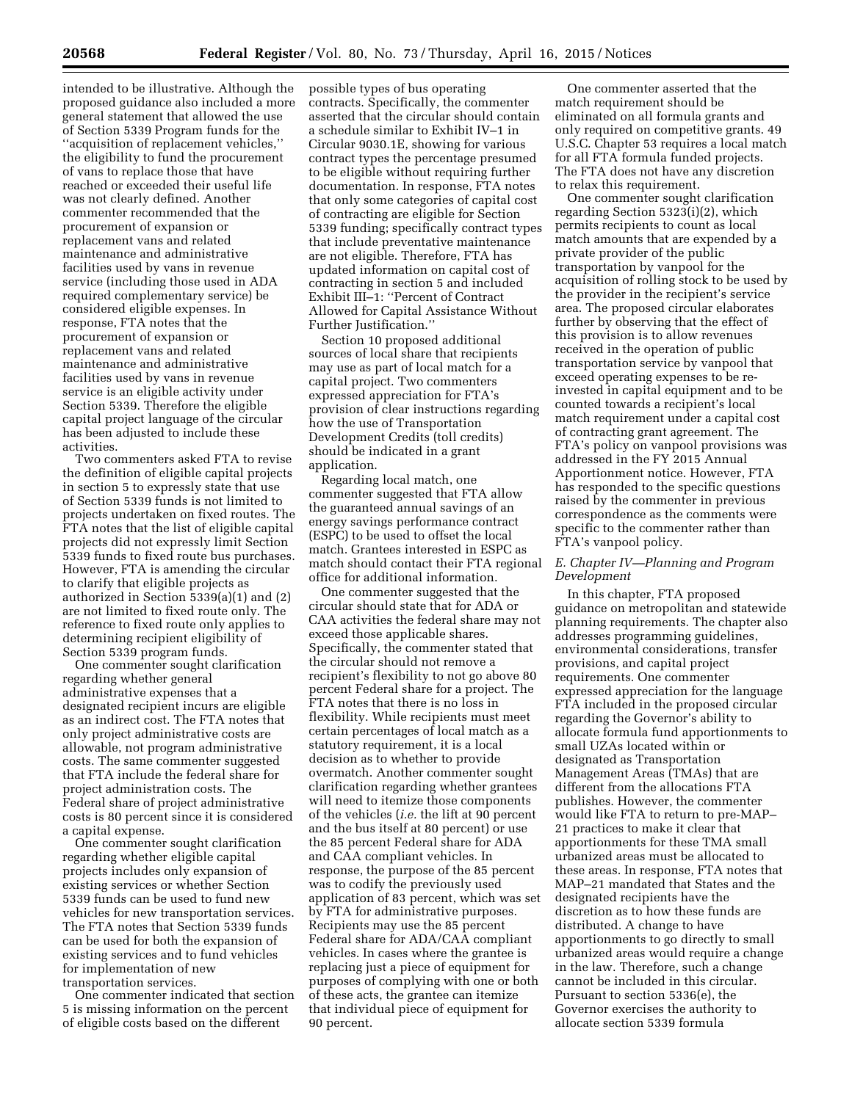intended to be illustrative. Although the proposed guidance also included a more general statement that allowed the use of Section 5339 Program funds for the ''acquisition of replacement vehicles,'' the eligibility to fund the procurement of vans to replace those that have reached or exceeded their useful life was not clearly defined. Another commenter recommended that the procurement of expansion or replacement vans and related maintenance and administrative facilities used by vans in revenue service (including those used in ADA required complementary service) be considered eligible expenses. In response, FTA notes that the procurement of expansion or replacement vans and related maintenance and administrative facilities used by vans in revenue service is an eligible activity under Section 5339. Therefore the eligible capital project language of the circular has been adjusted to include these activities.

Two commenters asked FTA to revise the definition of eligible capital projects in section 5 to expressly state that use of Section 5339 funds is not limited to projects undertaken on fixed routes. The FTA notes that the list of eligible capital projects did not expressly limit Section 5339 funds to fixed route bus purchases. However, FTA is amending the circular to clarify that eligible projects as authorized in Section 5339(a)(1) and (2) are not limited to fixed route only. The reference to fixed route only applies to determining recipient eligibility of Section 5339 program funds.

One commenter sought clarification regarding whether general administrative expenses that a designated recipient incurs are eligible as an indirect cost. The FTA notes that only project administrative costs are allowable, not program administrative costs. The same commenter suggested that FTA include the federal share for project administration costs. The Federal share of project administrative costs is 80 percent since it is considered a capital expense.

One commenter sought clarification regarding whether eligible capital projects includes only expansion of existing services or whether Section 5339 funds can be used to fund new vehicles for new transportation services. The FTA notes that Section 5339 funds can be used for both the expansion of existing services and to fund vehicles for implementation of new transportation services.

One commenter indicated that section 5 is missing information on the percent of eligible costs based on the different

possible types of bus operating contracts. Specifically, the commenter asserted that the circular should contain a schedule similar to Exhibit IV–1 in Circular 9030.1E, showing for various contract types the percentage presumed to be eligible without requiring further documentation. In response, FTA notes that only some categories of capital cost of contracting are eligible for Section 5339 funding; specifically contract types that include preventative maintenance are not eligible. Therefore, FTA has updated information on capital cost of contracting in section 5 and included Exhibit III–1: ''Percent of Contract Allowed for Capital Assistance Without Further Justification.''

Section 10 proposed additional sources of local share that recipients may use as part of local match for a capital project. Two commenters expressed appreciation for FTA's provision of clear instructions regarding how the use of Transportation Development Credits (toll credits) should be indicated in a grant application.

Regarding local match, one commenter suggested that FTA allow the guaranteed annual savings of an energy savings performance contract (ESPC) to be used to offset the local match. Grantees interested in ESPC as match should contact their FTA regional office for additional information.

One commenter suggested that the circular should state that for ADA or CAA activities the federal share may not exceed those applicable shares. Specifically, the commenter stated that the circular should not remove a recipient's flexibility to not go above 80 percent Federal share for a project. The FTA notes that there is no loss in flexibility. While recipients must meet certain percentages of local match as a statutory requirement, it is a local decision as to whether to provide overmatch. Another commenter sought clarification regarding whether grantees will need to itemize those components of the vehicles (*i.e.* the lift at 90 percent and the bus itself at 80 percent) or use the 85 percent Federal share for ADA and CAA compliant vehicles. In response, the purpose of the 85 percent was to codify the previously used application of 83 percent, which was set by FTA for administrative purposes. Recipients may use the 85 percent Federal share for ADA/CAA compliant vehicles. In cases where the grantee is replacing just a piece of equipment for purposes of complying with one or both of these acts, the grantee can itemize that individual piece of equipment for 90 percent.

One commenter asserted that the match requirement should be eliminated on all formula grants and only required on competitive grants. 49 U.S.C. Chapter 53 requires a local match for all FTA formula funded projects. The FTA does not have any discretion to relax this requirement.

One commenter sought clarification regarding Section 5323(i)(2), which permits recipients to count as local match amounts that are expended by a private provider of the public transportation by vanpool for the acquisition of rolling stock to be used by the provider in the recipient's service area. The proposed circular elaborates further by observing that the effect of this provision is to allow revenues received in the operation of public transportation service by vanpool that exceed operating expenses to be reinvested in capital equipment and to be counted towards a recipient's local match requirement under a capital cost of contracting grant agreement. The FTA's policy on vanpool provisions was addressed in the FY 2015 Annual Apportionment notice. However, FTA has responded to the specific questions raised by the commenter in previous correspondence as the comments were specific to the commenter rather than FTA's vanpool policy.

# *E. Chapter IV—Planning and Program Development*

In this chapter, FTA proposed guidance on metropolitan and statewide planning requirements. The chapter also addresses programming guidelines, environmental considerations, transfer provisions, and capital project requirements. One commenter expressed appreciation for the language FTA included in the proposed circular regarding the Governor's ability to allocate formula fund apportionments to small UZAs located within or designated as Transportation Management Areas (TMAs) that are different from the allocations FTA publishes. However, the commenter would like FTA to return to pre-MAP– 21 practices to make it clear that apportionments for these TMA small urbanized areas must be allocated to these areas. In response, FTA notes that MAP–21 mandated that States and the designated recipients have the discretion as to how these funds are distributed. A change to have apportionments to go directly to small urbanized areas would require a change in the law. Therefore, such a change cannot be included in this circular. Pursuant to section 5336(e), the Governor exercises the authority to allocate section 5339 formula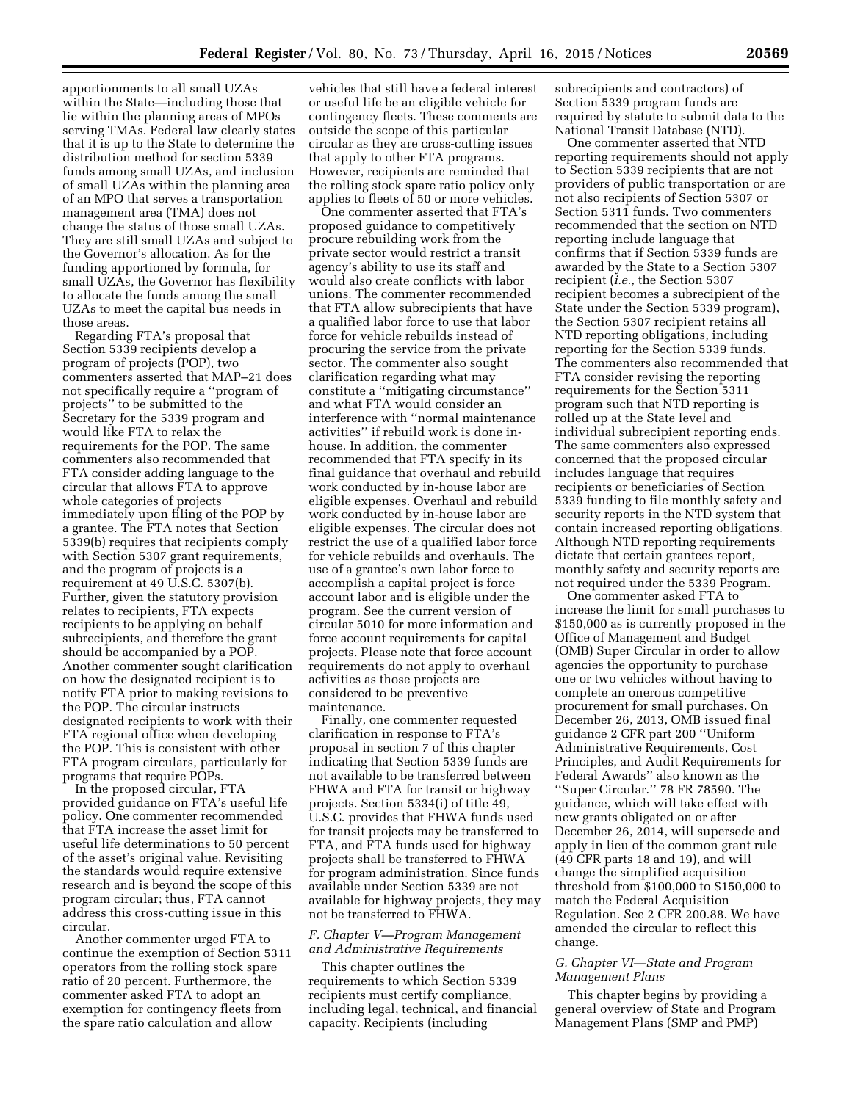apportionments to all small UZAs within the State—including those that lie within the planning areas of MPOs serving TMAs. Federal law clearly states that it is up to the State to determine the distribution method for section 5339 funds among small UZAs, and inclusion of small UZAs within the planning area of an MPO that serves a transportation management area (TMA) does not change the status of those small UZAs. They are still small UZAs and subject to the Governor's allocation. As for the funding apportioned by formula, for small UZAs, the Governor has flexibility to allocate the funds among the small UZAs to meet the capital bus needs in those areas.

Regarding FTA's proposal that Section 5339 recipients develop a program of projects (POP), two commenters asserted that MAP–21 does not specifically require a ''program of projects'' to be submitted to the Secretary for the 5339 program and would like FTA to relax the requirements for the POP. The same commenters also recommended that FTA consider adding language to the circular that allows FTA to approve whole categories of projects immediately upon filing of the POP by a grantee. The FTA notes that Section 5339(b) requires that recipients comply with Section 5307 grant requirements, and the program of projects is a requirement at 49 U.S.C. 5307(b). Further, given the statutory provision relates to recipients, FTA expects recipients to be applying on behalf subrecipients, and therefore the grant should be accompanied by a POP. Another commenter sought clarification on how the designated recipient is to notify FTA prior to making revisions to the POP. The circular instructs designated recipients to work with their FTA regional office when developing the POP. This is consistent with other FTA program circulars, particularly for programs that require POPs.

In the proposed circular, FTA provided guidance on FTA's useful life policy. One commenter recommended that FTA increase the asset limit for useful life determinations to 50 percent of the asset's original value. Revisiting the standards would require extensive research and is beyond the scope of this program circular; thus, FTA cannot address this cross-cutting issue in this circular.

Another commenter urged FTA to continue the exemption of Section 5311 operators from the rolling stock spare ratio of 20 percent. Furthermore, the commenter asked FTA to adopt an exemption for contingency fleets from the spare ratio calculation and allow

vehicles that still have a federal interest or useful life be an eligible vehicle for contingency fleets. These comments are outside the scope of this particular circular as they are cross-cutting issues that apply to other FTA programs. However, recipients are reminded that the rolling stock spare ratio policy only applies to fleets of 50 or more vehicles.

One commenter asserted that FTA's proposed guidance to competitively procure rebuilding work from the private sector would restrict a transit agency's ability to use its staff and would also create conflicts with labor unions. The commenter recommended that FTA allow subrecipients that have a qualified labor force to use that labor force for vehicle rebuilds instead of procuring the service from the private sector. The commenter also sought clarification regarding what may constitute a ''mitigating circumstance'' and what FTA would consider an interference with ''normal maintenance activities'' if rebuild work is done inhouse. In addition, the commenter recommended that FTA specify in its final guidance that overhaul and rebuild work conducted by in-house labor are eligible expenses. Overhaul and rebuild work conducted by in-house labor are eligible expenses. The circular does not restrict the use of a qualified labor force for vehicle rebuilds and overhauls. The use of a grantee's own labor force to accomplish a capital project is force account labor and is eligible under the program. See the current version of circular 5010 for more information and force account requirements for capital projects. Please note that force account requirements do not apply to overhaul activities as those projects are considered to be preventive maintenance.

Finally, one commenter requested clarification in response to FTA's proposal in section 7 of this chapter indicating that Section 5339 funds are not available to be transferred between FHWA and FTA for transit or highway projects. Section 5334(i) of title 49, U.S.C. provides that FHWA funds used for transit projects may be transferred to FTA, and FTA funds used for highway projects shall be transferred to FHWA for program administration. Since funds available under Section 5339 are not available for highway projects, they may not be transferred to FHWA.

#### *F. Chapter V—Program Management and Administrative Requirements*

This chapter outlines the requirements to which Section 5339 recipients must certify compliance, including legal, technical, and financial capacity. Recipients (including

subrecipients and contractors) of Section 5339 program funds are required by statute to submit data to the National Transit Database (NTD).

One commenter asserted that NTD reporting requirements should not apply to Section 5339 recipients that are not providers of public transportation or are not also recipients of Section 5307 or Section 5311 funds. Two commenters recommended that the section on NTD reporting include language that confirms that if Section 5339 funds are awarded by the State to a Section 5307 recipient (*i.e.,* the Section 5307 recipient becomes a subrecipient of the State under the Section 5339 program), the Section 5307 recipient retains all NTD reporting obligations, including reporting for the Section 5339 funds. The commenters also recommended that FTA consider revising the reporting requirements for the Section 5311 program such that NTD reporting is rolled up at the State level and individual subrecipient reporting ends. The same commenters also expressed concerned that the proposed circular includes language that requires recipients or beneficiaries of Section 5339 funding to file monthly safety and security reports in the NTD system that contain increased reporting obligations. Although NTD reporting requirements dictate that certain grantees report, monthly safety and security reports are not required under the 5339 Program.

One commenter asked FTA to increase the limit for small purchases to \$150,000 as is currently proposed in the Office of Management and Budget (OMB) Super Circular in order to allow agencies the opportunity to purchase one or two vehicles without having to complete an onerous competitive procurement for small purchases. On December 26, 2013, OMB issued final guidance 2 CFR part 200 ''Uniform Administrative Requirements, Cost Principles, and Audit Requirements for Federal Awards'' also known as the ''Super Circular.'' 78 FR 78590. The guidance, which will take effect with new grants obligated on or after December 26, 2014, will supersede and apply in lieu of the common grant rule (49 CFR parts 18 and 19), and will change the simplified acquisition threshold from \$100,000 to \$150,000 to match the Federal Acquisition Regulation. See 2 CFR 200.88. We have amended the circular to reflect this change.

#### *G. Chapter VI—State and Program Management Plans*

This chapter begins by providing a general overview of State and Program Management Plans (SMP and PMP)